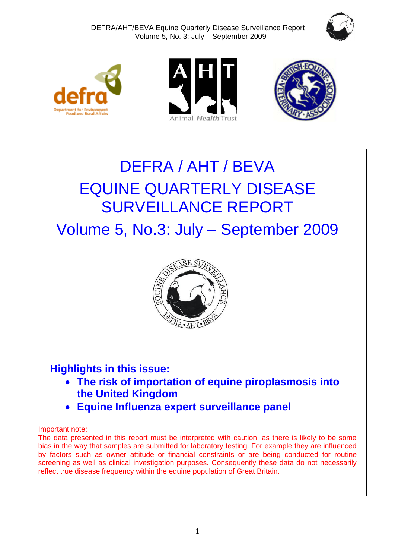







# DEFRA / AHT / BEVA EQUINE QUARTERLY DISEASE SURVEILLANCE REPORT

Volume 5, No.3: July – September 2009



# **Highlights in this issue:**

- **The risk of importation of equine piroplasmosis into the United Kingdom**
- **Equine Influenza expert surveillance panel**

# Important note:

The data presented in this report must be interpreted with caution, as there is likely to be some bias in the way that samples are submitted for laboratory testing. For example they are influenced by factors such as owner attitude or financial constraints or are being conducted for routine screening as well as clinical investigation purposes. Consequently these data do not necessarily reflect true disease frequency within the equine population of Great Britain.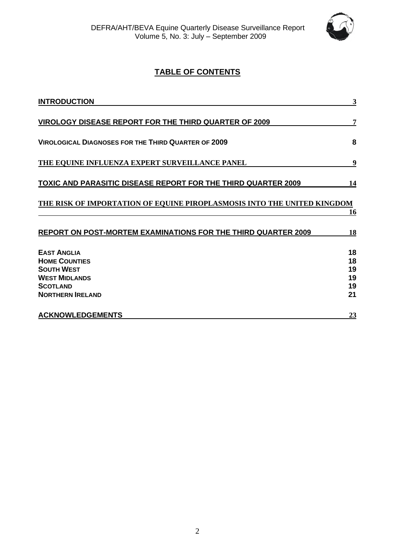

# **TABLE OF CONTENTS**

| <b>INTRODUCTION</b>                                                     | 3        |
|-------------------------------------------------------------------------|----------|
| <b>VIROLOGY DISEASE REPORT FOR THE THIRD QUARTER OF 2009</b>            | 7        |
| <b>VIROLOGICAL DIAGNOSES FOR THE THIRD QUARTER OF 2009</b>              | 8        |
| THE EQUINE INFLUENZA EXPERT SURVEILLANCE PANEL                          | 9        |
| <b>TOXIC AND PARASITIC DISEASE REPORT FOR THE THIRD QUARTER 2009</b>    | 14       |
| THE RISK OF IMPORTATION OF EQUINE PIROPLASMOSIS INTO THE UNITED KINGDOM | 16       |
| <b>REPORT ON POST-MORTEM EXAMINATIONS FOR THE THIRD QUARTER 2009</b>    | 18       |
| <b>EAST ANGLIA</b><br><b>HOME COUNTIES</b>                              | 18<br>18 |
| <b>SOUTH WEST</b>                                                       | 19       |
| <b>WEST MIDLANDS</b>                                                    | 19       |
| <b>SCOTLAND</b><br><b>NORTHERN IRELAND</b>                              | 19<br>21 |
| <b>ACKNOWLEDGEMENTS</b>                                                 | 23       |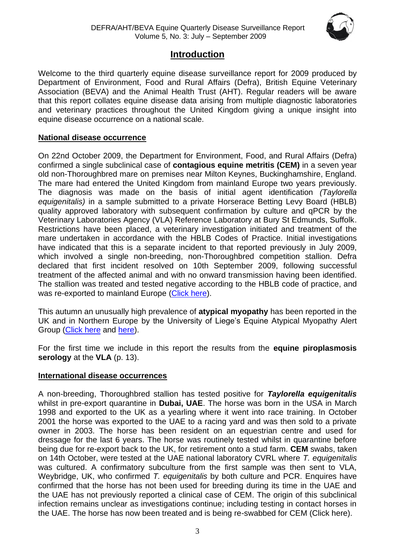

# **Introduction**

<span id="page-2-0"></span>Welcome to the third quarterly equine disease surveillance report for 2009 produced by Department of Environment, Food and Rural Affairs (Defra), British Equine Veterinary Association (BEVA) and the Animal Health Trust (AHT). Regular readers will be aware that this report collates equine disease data arising from multiple diagnostic laboratories and veterinary practices throughout the United Kingdom giving a unique insight into equine disease occurrence on a national scale.

# **National disease occurrence**

On 22nd October 2009, the Department for Environment, Food, and Rural Affairs (Defra) confirmed a single subclinical case of **contagious equine metritis (CEM)** in a seven year old non-Thoroughbred mare on premises near Milton Keynes, Buckinghamshire, England. The mare had entered the United Kingdom from mainland Europe two years previously. The diagnosis was made on the basis of initial agent identification *(Taylorella equigenitalis)* in a sample submitted to a private Horserace Betting Levy Board (HBLB) quality approved laboratory with subsequent confirmation by culture and qPCR by the Veterinary Laboratories Agency (VLA) Reference Laboratory at Bury St Edmunds, Suffolk. Restrictions have been placed, a veterinary investigation initiated and treatment of the mare undertaken in accordance with the HBLB Codes of Practice. Initial investigations have indicated that this is a separate incident to that reported previously in July 2009, which involved a single non-breeding, non-Thoroughbred competition stallion. Defra declared that first incident resolved on 10th September 2009, following successful treatment of the affected animal and with no onward transmission having been identified. The stallion was treated and tested negative according to the HBLB code of practice, and was re-exported to mainland Europe [\(Click here\)](http://www.oie.int/wahis/public.php?page=single_report&pop=1&reportid=8645).

This autumn an unusually high prevalence of **atypical myopathy** has been reported in the UK and in Northern Europe by the University of Liege's Equine Atypical Myopathy Alert Group [\(Click here](http://www.myopathieatypique.be/) and [here\)](http://www.promedmail.org/pls/otn/f?p=2400:1000:).

For the first time we include in this report the results from the **equine piroplasmosis serology** at the **VLA** (p. 13).

# **International disease occurrences**

A non-breeding, Thoroughbred stallion has tested positive for *Taylorella equigenitalis* whilst in pre-export quarantine in **Dubai, UAE**. The horse was born in the USA in March 1998 and exported to the UK as a yearling where it went into race training. In October 2001 the horse was exported to the UAE to a racing yard and was then sold to a private owner in 2003. The horse has been resident on an equestrian centre and used for dressage for the last 6 years. The horse was routinely tested whilst in quarantine before being due for re-export back to the UK, for retirement onto a stud farm. **CEM** swabs, taken on 14th October, were tested at the UAE national laboratory CVRL where *T. equigenitalis* was cultured. A confirmatory subculture from the first sample was then sent to VLA, Weybridge, UK, who confirmed *T. equigenitalis* by both culture and PCR. Enquires have confirmed that the horse has not been used for breeding during its time in the UAE and the UAE has not previously reported a clinical case of CEM. The origin of this subclinical infection remains unclear as investigations continue; including testing in contact horses in the UAE. The horse has now been treated and is being re-swabbed for CEM [\(Click here\)](http://www.oie.int/wahis/public.php?page=single_report&pop=1&reportid=8658).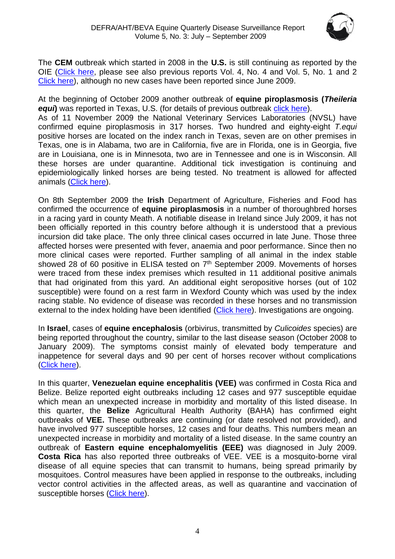

The **CEM** outbreak which started in 2008 in the **U.S.** is still continuing as reported by the OIE [\(Click here,](http://www.oie.int/wahis/public.php?page=single_report&pop=1&reportid=8550) please see also previous reports Vol. 4, No. 4 and Vol. 5, No. 1 and 2 [Click here\)](http://www.aht.org.uk/equine_disease.html), although no new cases have been reported since June 2009.

At the beginning of October 2009 another outbreak of **equine piroplasmosis (***Theileria equi* was reported in Texas, U.S. (for details of previous outbreak [click here\)](http://www.oie.int/wahis/public.php?page=single_report&pop=1&reportid=8406). As of 11 November 2009 the National Veterinary Services Laboratories (NVSL) have

confirmed equine piroplasmosis in 317 horses. Two hundred and eighty-eight *T.equi* positive horses are located on the index ranch in Texas, seven are on other premises in Texas, one is in Alabama, two are in California, five are in Florida, one is in Georgia, five are in Louisiana, one is in Minnesota, two are in Tennessee and one is in Wisconsin. All these horses are under quarantine. Additional tick investigation is continuing and epidemiologically linked horses are being tested. No treatment is allowed for affected animals [\(Click here\)](http://www.oie.int/wahis/public.php?page=single_report&pop=1&reportid=8647).

On 8th September 2009 the **Irish** Department of Agriculture, Fisheries and Food has confirmed the occurrence of **equine piroplasmosis** in a number of thoroughbred horses in a racing yard in county Meath. A notifiable disease in Ireland since July 2009, it has not been officially reported in this country before although it is understood that a previous incursion did take place. The only three clinical cases occurred in late June. Those three affected horses were presented with fever, anaemia and poor performance. Since then no more clinical cases were reported. Further sampling of all animal in the index stable showed 28 of 60 positive in ELISA tested on  $7<sup>th</sup>$  September 2009. Movements of horses were traced from these index premises which resulted in 11 additional positive animals that had originated from this yard. An additional eight seropositive horses (out of 102 susceptible) were found on a rest farm in Wexford County which was used by the index racing stable. No evidence of disease was recorded in these horses and no transmission external to the index holding have been identified [\(Click here\)](http://www.oie.int/wahis/public.php?page=single_report&pop=1&reportid=8496). Investigations are ongoing.

In **Israel**, cases of **equine encephalosis** (orbivirus, transmitted by *Culicoides* species) are being reported throughout the country, similar to the last disease season (October 2008 to January 2009). The symptoms consist mainly of elevated body temperature and inappetence for several days and 90 per cent of horses recover without complications [\(Click here\)](http://www.promedmail.org/pls/otn/f?p=2400:1000:).

In this quarter, **Venezuelan equine encephalitis (VEE)** was confirmed in Costa Rica and Belize. Belize reported eight outbreaks including 12 cases and 977 susceptible equidae which mean an unexpected increase in morbidity and mortality of this listed disease. In this quarter, the **Belize** Agricultural Health Authority (BAHA) has confirmed eight outbreaks of **VEE.** These outbreaks are continuing (or date resolved not provided), and have involved 977 susceptible horses, 12 cases and four deaths. This numbers mean an unexpected increase in morbidity and mortality of a listed disease. In the same country an outbreak of **Eastern equine encephalomyelitis (EEE)** was diagnosed in July 2009. **Costa Rica** has also reported three outbreaks of VEE. VEE is a mosquito-borne viral disease of all equine species that can transmit to humans, being spread primarily by mosquitoes. Control measures have been applied in response to the outbreaks, including vector control activities in the affected areas, as well as quarantine and vaccination of susceptible horses [\(Click here\)](http://www.oie.int/wahis/public.php?page=single_report&pop=1&reportid=8537).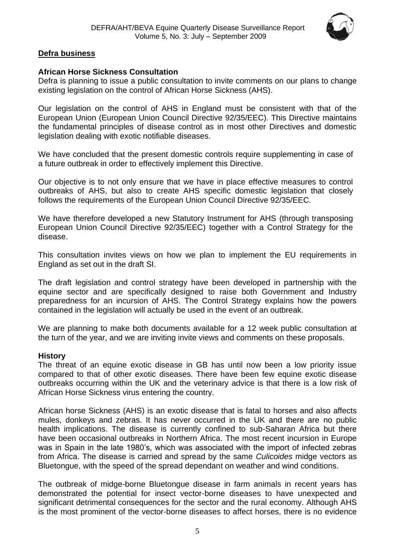

# **Defra business**

# **African Horse Sickness Consultation**

Defra is planning to issue a public consultation to invite comments on our plans to change existing legislation on the control of African Horse Sickness (AHS).

Our legislation on the control of AHS in England must be consistent with that of the European Union (European Union Council Directive 92/35/EEC). This Directive maintains the fundamental principles of disease control as in most other Directives and domestic legislation dealing with exotic notifiable diseases.

We have concluded that the present domestic controls require supplementing in case of a future outbreak in order to effectively implement this Directive.

Our objective is to not only ensure that we have in place effective measures to control outbreaks of AHS, but also to create AHS specific domestic legislation that closely follows the requirements of the European Union Council Directive 92/35/EEC.

We have therefore developed a new Statutory Instrument for AHS (through transposing European Union Council Directive 92/35/EEC) together with a Control Strategy for the disease.

This consultation invites views on how we plan to implement the EU requirements in England as set out in the draft SI.

The draft legislation and control strategy have been developed in partnership with the equine sector and are specifically designed to raise both Government and Industry preparedness for an incursion of AHS. The Control Strategy explains how the powers contained in the legislation will actually be used in the event of an outbreak.

We are planning to make both documents available for a 12 week public consultation at the turn of the year, and we are inviting invite views and comments on these proposals.

# **History**

The threat of an equine exotic disease in GB has until now been a low priority issue compared to that of other exotic diseases. There have been few equine exotic disease outbreaks occurring within the UK and the veterinary advice is that there is a low risk of African Horse Sickness virus entering the country.

African horse Sickness (AHS) is an exotic disease that is fatal to horses and also affects mules, donkeys and zebras. It has never occurred in the UK and there are no public health implications. The disease is currently confined to sub-Saharan Africa but there have been occasional outbreaks in Northern Africa. The most recent incursion in Europe was in Spain in the late 1980's, which was associated with the import of infected zebras from Africa. The disease is carried and spread by the same *Culicoides* midge vectors as Bluetongue, with the speed of the spread dependant on weather and wind conditions.

The outbreak of midge-borne Bluetongue disease in farm animals in recent years has demonstrated the potential for insect vector-borne diseases to have unexpected and significant detrimental consequences for the sector and the rural economy. Although AHS is the most prominent of the vector-borne diseases to affect horses, there is no evidence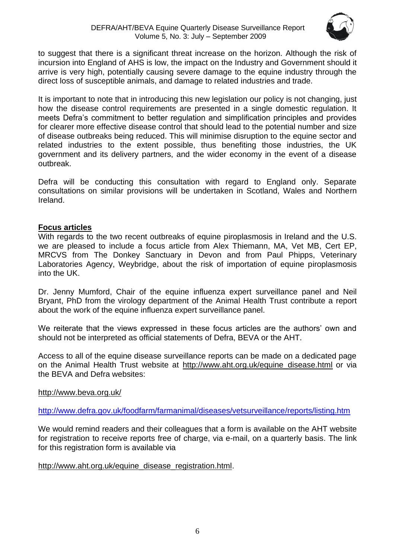

to suggest that there is a significant threat increase on the horizon. Although the risk of incursion into England of AHS is low, the impact on the Industry and Government should it arrive is very high, potentially causing severe damage to the equine industry through the direct loss of susceptible animals, and damage to related industries and trade.

It is important to note that in introducing this new legislation our policy is not changing, just how the disease control requirements are presented in a single domestic regulation. It meets Defra's commitment to better regulation and simplification principles and provides for clearer more effective disease control that should lead to the potential number and size of disease outbreaks being reduced. This will minimise disruption to the equine sector and related industries to the extent possible, thus benefiting those industries, the UK government and its delivery partners, and the wider economy in the event of a disease outbreak.

Defra will be conducting this consultation with regard to England only. Separate consultations on similar provisions will be undertaken in Scotland, Wales and Northern Ireland.

# **Focus articles**

With regards to the two recent outbreaks of equine piroplasmosis in Ireland and the U.S. we are pleased to include a focus article from Alex Thiemann, MA, Vet MB, Cert EP, MRCVS from The Donkey Sanctuary in Devon and from Paul Phipps, Veterinary Laboratories Agency, Weybridge, about the risk of importation of equine piroplasmosis into the UK.

Dr. Jenny Mumford, Chair of the equine influenza expert surveillance panel and Neil Bryant, PhD from the virology department of the Animal Health Trust contribute a report about the work of the equine influenza expert surveillance panel.

We reiterate that the views expressed in these focus articles are the authors' own and should not be interpreted as official statements of Defra, BEVA or the AHT.

Access to all of the equine disease surveillance reports can be made on a dedicated page on the Animal Health Trust website at [http://www.aht.org.uk/equine\\_disease.html](http://www.aht.org.uk/equine_disease.html) or via the BEVA and Defra websites:

# <http://www.beva.org.uk/>

<http://www.defra.gov.uk/foodfarm/farmanimal/diseases/vetsurveillance/reports/listing.htm>

We would remind readers and their colleagues that a form is available on the AHT website for registration to receive reports free of charge, via e-mail, on a quarterly basis. The link for this registration form is available via

# [http://www.aht.org.uk/equine\\_disease\\_registration.html.](http://www.aht.org.uk/equine_disease_registration.html)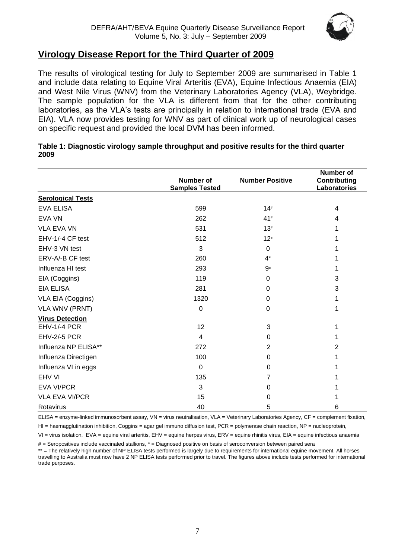

# <span id="page-6-0"></span>**Virology Disease Report for the Third Quarter of 2009**

The results of virological testing for July to September 2009 are summarised in Table 1 and include data relating to Equine Viral Arteritis (EVA), Equine Infectious Anaemia (EIA) and West Nile Virus (WNV) from the Veterinary Laboratories Agency (VLA), Weybridge. The sample population for the VLA is different from that for the other contributing laboratories, as the VLA's tests are principally in relation to international trade (EVA and EIA). VLA now provides testing for WNV as part of clinical work up of neurological cases on specific request and provided the local DVM has been informed.

|                          | <b>Number of</b><br><b>Samples Tested</b> | <b>Number Positive</b> | <b>Number of</b><br><b>Contributing</b><br>Laboratories |
|--------------------------|-------------------------------------------|------------------------|---------------------------------------------------------|
| <b>Serological Tests</b> |                                           |                        |                                                         |
| <b>EVA ELISA</b>         | 599                                       | 14#                    | 4                                                       |
| <b>EVA VN</b>            | 262                                       | $41*$                  | 4                                                       |
| <b>VLA EVA VN</b>        | 531                                       | $13*$                  |                                                         |
| EHV-1/-4 CF test         | 512                                       | $12*$                  |                                                         |
| EHV-3 VN test            | 3                                         | 0                      |                                                         |
| ERV-A/-B CF test         | 260                                       | $4^*$                  |                                                         |
| Influenza HI test        | 293                                       | $9*$                   |                                                         |
| EIA (Coggins)            | 119                                       | $\Omega$               | 3                                                       |
| <b>EIA ELISA</b>         | 281                                       | 0                      | 3                                                       |
| VLA EIA (Coggins)        | 1320                                      | $\Omega$               |                                                         |
| <b>VLA WNV (PRNT)</b>    | $\boldsymbol{0}$                          | $\mathbf 0$            |                                                         |
| <b>Virus Detection</b>   |                                           |                        |                                                         |
| EHV-1/-4 PCR             | 12                                        | 3                      |                                                         |
| <b>EHV-2/-5 PCR</b>      | $\overline{4}$                            | 0                      |                                                         |
| Influenza NP ELISA**     | 272                                       | $\overline{2}$         | 2                                                       |
| Influenza Directigen     | 100                                       | $\Omega$               |                                                         |
| Influenza VI in eggs     | $\Omega$                                  | $\Omega$               |                                                         |
| EHV VI                   | 135                                       | 7                      |                                                         |
| <b>EVA VI/PCR</b>        | 3                                         | 0                      |                                                         |
| <b>VLA EVA VI/PCR</b>    | 15                                        | 0                      |                                                         |
| Rotavirus                | 40                                        | 5                      | 6                                                       |

#### **Table 1: Diagnostic virology sample throughput and positive results for the third quarter 2009**

ELISA = enzyme-linked immunosorbent assay, VN = virus neutralisation, VLA = Veterinary Laboratories Agency, CF = complement fixation,

HI = haemagglutination inhibition, Coggins = agar gel immuno diffusion test, PCR = polymerase chain reaction, NP = nucleoprotein,

VI = virus isolation, EVA = equine viral arteritis, EHV = equine herpes virus, ERV = equine rhinitis virus, EIA = equine infectious anaemia

 $#$  = Seropositives include vaccinated stallions,  $*$  = Diagnosed positive on basis of seroconversion between paired sera

\*\* = The relatively high number of NP ELISA tests performed is largely due to requirements for international equine movement. All horses travelling to Australia must now have 2 NP ELISA tests performed prior to travel. The figures above include tests performed for international trade purposes.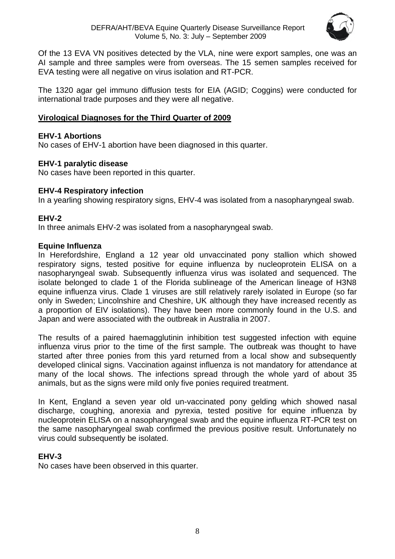

Of the 13 EVA VN positives detected by the VLA, nine were export samples, one was an AI sample and three samples were from overseas. The 15 semen samples received for EVA testing were all negative on virus isolation and RT-PCR.

The 1320 agar gel immuno diffusion tests for EIA (AGID; Coggins) were conducted for international trade purposes and they were all negative.

# <span id="page-7-0"></span>**Virological Diagnoses for the Third Quarter of 2009**

# **EHV-1 Abortions**

No cases of EHV-1 abortion have been diagnosed in this quarter.

# **EHV-1 paralytic disease**

No cases have been reported in this quarter.

# **EHV-4 Respiratory infection**

In a yearling showing respiratory signs, EHV-4 was isolated from a nasopharyngeal swab.

# **EHV-2**

In three animals EHV-2 was isolated from a nasopharyngeal swab.

# **Equine Influenza**

In Herefordshire, England a 12 year old unvaccinated pony stallion which showed respiratory signs, tested positive for equine influenza by nucleoprotein ELISA on a nasopharyngeal swab. Subsequently influenza virus was isolated and sequenced. The isolate belonged to clade 1 of the Florida sublineage of the American lineage of H3N8 equine influenza virus. Clade 1 viruses are still relatively rarely isolated in Europe (so far only in Sweden; Lincolnshire and Cheshire, UK although they have increased recently as a proportion of EIV isolations). They have been more commonly found in the U.S. and Japan and were associated with the outbreak in Australia in 2007.

The results of a paired haemagglutinin inhibition test suggested infection with equine influenza virus prior to the time of the first sample. The outbreak was thought to have started after three ponies from this yard returned from a local show and subsequently developed clinical signs. Vaccination against influenza is not mandatory for attendance at many of the local shows. The infections spread through the whole yard of about 35 animals, but as the signs were mild only five ponies required treatment.

In Kent, England a seven year old un-vaccinated pony gelding which showed nasal discharge, coughing, anorexia and pyrexia, tested positive for equine influenza by nucleoprotein ELISA on a nasopharyngeal swab and the equine influenza RT-PCR test on the same nasopharyngeal swab confirmed the previous positive result. Unfortunately no virus could subsequently be isolated.

# **EHV-3**

No cases have been observed in this quarter.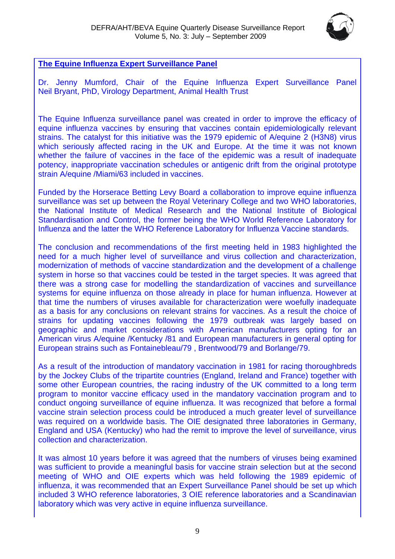

# <span id="page-8-0"></span>**The Equine Influenza Expert Surveillance Panel**

Dr. Jenny Mumford, Chair of the Equine Influenza Expert Surveillance Panel Neil Bryant, PhD, Virology Department, Animal Health Trust

The Equine Influenza surveillance panel was created in order to improve the efficacy of equine influenza vaccines by ensuring that vaccines contain epidemiologically relevant strains. The catalyst for this initiative was the 1979 epidemic of A/equine 2 (H3N8) virus which seriously affected racing in the UK and Europe. At the time it was not known whether the failure of vaccines in the face of the epidemic was a result of inadequate potency, inappropriate vaccination schedules or antigenic drift from the original prototype strain A/equine /Miami/63 included in vaccines.

Funded by the Horserace Betting Levy Board a collaboration to improve equine influenza surveillance was set up between the Royal Veterinary College and two WHO laboratories, the National Institute of Medical Research and the National Institute of Biological Standardisation and Control, the former being the WHO World Reference Laboratory for Influenza and the latter the WHO Reference Laboratory for Influenza Vaccine standards.

The conclusion and recommendations of the first meeting held in 1983 highlighted the need for a much higher level of surveillance and virus collection and characterization, modernization of methods of vaccine standardization and the development of a challenge system in horse so that vaccines could be tested in the target species. It was agreed that there was a strong case for modelling the standardization of vaccines and surveillance systems for equine influenza on those already in place for human influenza. However at that time the numbers of viruses available for characterization were woefully inadequate as a basis for any conclusions on relevant strains for vaccines. As a result the choice of strains for updating vaccines following the 1979 outbreak was largely based on geographic and market considerations with American manufacturers opting for an American virus A/equine /Kentucky /81 and European manufacturers in general opting for European strains such as Fontainebleau/79 , Brentwood/79 and Borlange/79.

As a result of the introduction of mandatory vaccination in 1981 for racing thoroughbreds by the Jockey Clubs of the tripartite countries (England, Ireland and France) together with some other European countries, the racing industry of the UK committed to a long term program to monitor vaccine efficacy used in the mandatory vaccination program and to conduct ongoing surveillance of equine influenza. It was recognized that before a formal vaccine strain selection process could be introduced a much greater level of surveillance was required on a worldwide basis. The OIE designated three laboratories in Germany, England and USA (Kentucky) who had the remit to improve the level of surveillance, virus collection and characterization.

It was almost 10 years before it was agreed that the numbers of viruses being examined was sufficient to provide a meaningful basis for vaccine strain selection but at the second meeting of WHO and OIE experts which was held following the 1989 epidemic of influenza, it was recommended that an Expert Surveillance Panel should be set up which included 3 WHO reference laboratories, 3 OIE reference laboratories and a Scandinavian laboratory which was very active in equine influenza surveillance.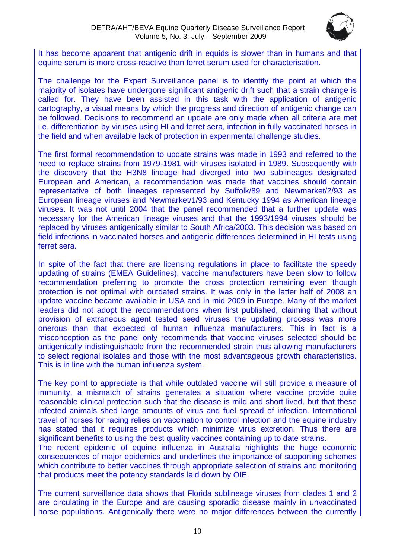

It has become apparent that antigenic drift in equids is slower than in humans and that equine serum is more cross-reactive than ferret serum used for characterisation.

The challenge for the Expert Surveillance panel is to identify the point at which the majority of isolates have undergone significant antigenic drift such that a strain change is called for. They have been assisted in this task with the application of antigenic cartography, a visual means by which the progress and direction of antigenic change can be followed. Decisions to recommend an update are only made when all criteria are met i.e. differentiation by viruses using HI and ferret sera, infection in fully vaccinated horses in the field and when available lack of protection in experimental challenge studies.

The first formal recommendation to update strains was made in 1993 and referred to the need to replace strains from 1979-1981 with viruses isolated in 1989. Subsequently with the discovery that the H3N8 lineage had diverged into two sublineages designated European and American, a recommendation was made that vaccines should contain representative of both lineages represented by Suffolk/89 and Newmarket/2/93 as European lineage viruses and Newmarket/1/93 and Kentucky 1994 as American lineage viruses. It was not until 2004 that the panel recommended that a further update was necessary for the American lineage viruses and that the 1993/1994 viruses should be replaced by viruses antigenically similar to South Africa/2003. This decision was based on field infections in vaccinated horses and antigenic differences determined in HI tests using ferret sera.

In spite of the fact that there are licensing regulations in place to facilitate the speedy updating of strains (EMEA Guidelines), vaccine manufacturers have been slow to follow recommendation preferring to promote the cross protection remaining even though protection is not optimal with outdated strains. It was only in the latter half of 2008 an update vaccine became available in USA and in mid 2009 in Europe. Many of the market leaders did not adopt the recommendations when first published, claiming that without provision of extraneous agent tested seed viruses the updating process was more onerous than that expected of human influenza manufacturers. This in fact is a misconception as the panel only recommends that vaccine viruses selected should be antigenically indistinguishable from the recommended strain thus allowing manufacturers to select regional isolates and those with the most advantageous growth characteristics. This is in line with the human influenza system.

The key point to appreciate is that while outdated vaccine will still provide a measure of immunity, a mismatch of strains generates a situation where vaccine provide quite reasonable clinical protection such that the disease is mild and short lived, but that these infected animals shed large amounts of virus and fuel spread of infection. International travel of horses for racing relies on vaccination to control infection and the equine industry has stated that it requires products which minimize virus excretion. Thus there are significant benefits to using the best quality vaccines containing up to date strains.

The recent epidemic of equine influenza in Australia highlights the huge economic consequences of major epidemics and underlines the importance of supporting schemes which contribute to better vaccines through appropriate selection of strains and monitoring that products meet the potency standards laid down by OIE.

The current surveillance data shows that Florida sublineage viruses from clades 1 and 2 are circulating in the Europe and are causing sporadic disease mainly in unvaccinated horse populations. Antigenically there were no major differences between the currently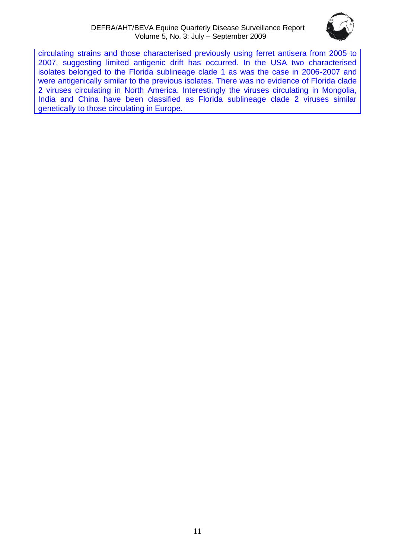#### DEFRA/AHT/BEVA Equine Quarterly Disease Surveillance Report Volume 5, No. 3: July – September 2009



circulating strains and those characterised previously using ferret antisera from 2005 to 2007, suggesting limited antigenic drift has occurred. In the USA two characterised isolates belonged to the Florida sublineage clade 1 as was the case in 2006-2007 and were antigenically similar to the previous isolates. There was no evidence of Florida clade 2 viruses circulating in North America. Interestingly the viruses circulating in Mongolia, India and China have been classified as Florida sublineage clade 2 viruses similar genetically to those circulating in Europe.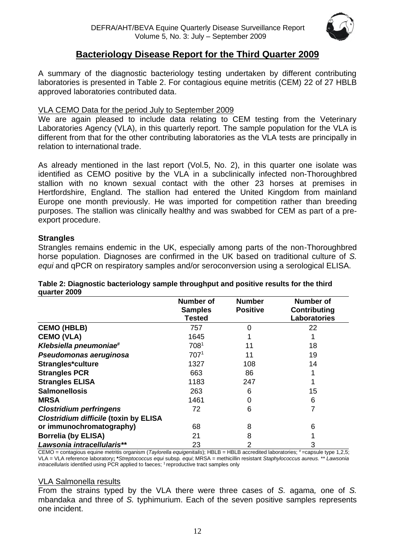

# **Bacteriology Disease Report for the Third Quarter 2009**

A summary of the diagnostic bacteriology testing undertaken by different contributing laboratories is presented in Table 2. For contagious equine metritis (CEM) 22 of 27 HBLB approved laboratories contributed data.

## VLA CEMO Data for the period July to September 2009

We are again pleased to include data relating to CEM testing from the Veterinary Laboratories Agency (VLA), in this quarterly report. The sample population for the VLA is different from that for the other contributing laboratories as the VLA tests are principally in relation to international trade.

As already mentioned in the last report (Vol.5, No. 2), in this quarter one isolate was identified as CEMO positive by the VLA in a subclinically infected non-Thoroughbred stallion with no known sexual contact with the other 23 horses at premises in Hertfordshire, England. The stallion had entered the United Kingdom from mainland Europe one month previously. He was imported for competition rather than breeding purposes. The stallion was clinically healthy and was swabbed for CEM as part of a preexport procedure.

# **Strangles**

Strangles remains endemic in the UK, especially among parts of the non-Thoroughbred horse population. Diagnoses are confirmed in the UK based on traditional culture of *S. equi* and qPCR on respiratory samples and/or seroconversion using a serological ELISA.

| guartor zoos                                 |                                                     |                                  |                                                  |
|----------------------------------------------|-----------------------------------------------------|----------------------------------|--------------------------------------------------|
|                                              | <b>Number of</b><br><b>Samples</b><br><b>Tested</b> | <b>Number</b><br><b>Positive</b> | Number of<br><b>Contributing</b><br>Laboratories |
| <b>CEMO (HBLB)</b>                           | 757                                                 | $\Omega$                         | 22                                               |
| <b>CEMO (VLA)</b>                            | 1645                                                |                                  |                                                  |
| Klebsiella pneumoniae#                       | 7081                                                | 11                               | 18                                               |
| Pseudomonas aeruginosa                       | 707 <sup>1</sup>                                    | 11                               | 19                                               |
| Strangles*culture                            | 1327                                                | 108                              | 14                                               |
| <b>Strangles PCR</b>                         | 663                                                 | 86                               |                                                  |
| <b>Strangles ELISA</b>                       | 1183                                                | 247                              |                                                  |
| <b>Salmonellosis</b>                         | 263                                                 | 6                                | 15                                               |
| <b>MRSA</b>                                  | 1461                                                | 0                                | 6                                                |
| <b>Clostridium perfringens</b>               | 72                                                  | 6                                | 7                                                |
| <b>Clostridium difficile (toxin by ELISA</b> |                                                     |                                  |                                                  |
| or immunochromatography)                     | 68                                                  | 8                                | 6                                                |
| <b>Borrelia (by ELISA)</b>                   | 21                                                  | 8                                |                                                  |
| Lawsonia intracellularis**                   | 23                                                  | 2                                | 3                                                |

#### **Table 2: Diagnostic bacteriology sample throughput and positive results for the third quarter 2009**

CEMO = contagious equine metritis organism (*Taylorella equigenitalis*); HBLB = HBLB accredited laboratories; #=capsule type 1,2,5; VLA = VLA reference laboratory**; \****Streptococcus equi* subsp*. equi*; MRSA = methicillin resistant *Staphylococcus aureus.* \*\* *Lawsonia intracellularis* identified using PCR applied to faeces; <sup>1</sup> reproductive tract samples only

#### VLA Salmonella results

From the strains typed by the VLA there were three cases of *S.* agama*,* one of *S.*  mbandaka and three of *S.* typhimurium. Each of the seven positive samples represents one incident.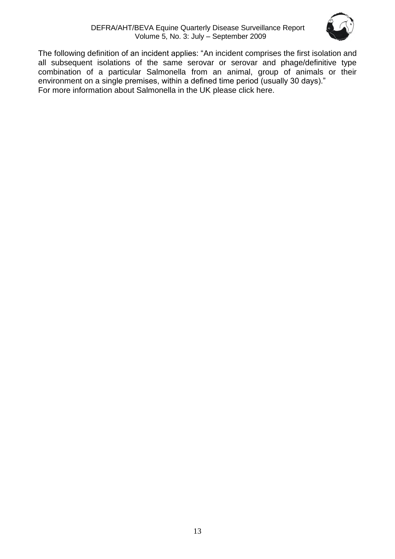

The following definition of an incident applies: "An incident comprises the first isolation and all subsequent isolations of the same serovar or serovar and phage/definitive type combination of a particular Salmonella from an animal, group of animals or their environment on a single premises, within a defined time period (usually 30 days)." For more information about Salmonella in the UK please [click here.](http://www.defra.gov.uk/vla/reports/rep_salm_rep07.htm)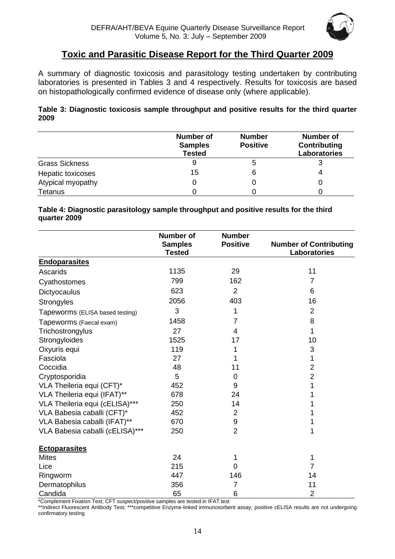

# **Toxic and Parasitic Disease Report for the Third Quarter 2009**

<span id="page-13-0"></span>A summary of diagnostic toxicosis and parasitology testing undertaken by contributing laboratories is presented in Tables 3 and 4 respectively. Results for toxicosis are based on histopathologically confirmed evidence of disease only (where applicable).

## **Table 3: Diagnostic toxicosis sample throughput and positive results for the third quarter 2009**

|                       | <b>Number of</b><br><b>Samples</b><br><b>Tested</b> | <b>Number</b><br><b>Positive</b> | <b>Number of</b><br>Contributing<br><b>Laboratories</b> |
|-----------------------|-----------------------------------------------------|----------------------------------|---------------------------------------------------------|
| <b>Grass Sickness</b> | 9                                                   |                                  | 3                                                       |
| Hepatic toxicoses     | 15                                                  |                                  | 4                                                       |
| Atypical myopathy     |                                                     |                                  | U                                                       |
| <b>Tetanus</b>        |                                                     |                                  |                                                         |

#### **Table 4: Diagnostic parasitology sample throughput and positive results for the third quarter 2009**

|                                 | <b>Number of</b><br><b>Samples</b><br><b>Tested</b> | <b>Number</b><br><b>Positive</b> | <b>Number of Contributing</b><br>Laboratories |
|---------------------------------|-----------------------------------------------------|----------------------------------|-----------------------------------------------|
| <b>Endoparasites</b>            |                                                     |                                  |                                               |
| Ascarids                        | 1135                                                | 29                               | 11                                            |
| Cyathostomes                    | 799                                                 | 162                              | $\overline{7}$                                |
| Dictyocaulus                    | 623                                                 | 2                                | 6                                             |
| Strongyles                      | 2056                                                | 403                              | 16                                            |
| Tapeworms (ELISA based testing) | 3                                                   | 1                                | $\overline{2}$                                |
| Tapeworms (Faecal exam)         | 1458                                                | $\overline{7}$                   | 8                                             |
| Trichostrongylus                | 27                                                  | 4                                | 1                                             |
| Strongyloides                   | 1525                                                | 17                               | 10                                            |
| Oxyuris equi                    | 119                                                 | 1                                | 3                                             |
| Fasciola                        | 27                                                  | 1                                | 1                                             |
| Coccidia                        | 48                                                  | 11                               | $\overline{2}$                                |
| Cryptosporidia                  | 5                                                   | 0                                | $\overline{2}$                                |
| VLA Theileria equi (CFT)*       | 452                                                 | 9                                | 1                                             |
| VLA Theileria equi (IFAT)**     | 678                                                 | 24                               | 1                                             |
| VLA Theileria equi (cELISA)***  | 250                                                 | 14                               | 1                                             |
| VLA Babesia caballi (CFT)*      | 452                                                 | 2                                | 1                                             |
| VLA Babesia caballi (IFAT)**    | 670                                                 | 9                                | 1                                             |
| VLA Babesia caballi (cELISA)*** | 250                                                 | $\overline{2}$                   | 1                                             |
| <b>Ectoparasites</b>            |                                                     |                                  |                                               |
| <b>Mites</b>                    | 24                                                  | 1                                | 1                                             |
| Lice                            | 215                                                 | 0                                | 7                                             |
| Ringworm                        | 447                                                 | 146                              | 14                                            |
| Dermatophilus                   | 356                                                 | 7                                | 11                                            |
| Candida                         | 65                                                  | 6                                | $\overline{2}$                                |

\*Complement Fixation Test; CFT suspect/positive samples are tested in IFAT test

\*\*Indirect Fluorescent Antibody Test; \*\*\*competitive Enzyme-linked immunosorbent assay; positive cELISA results are not undergoing confirmatory testing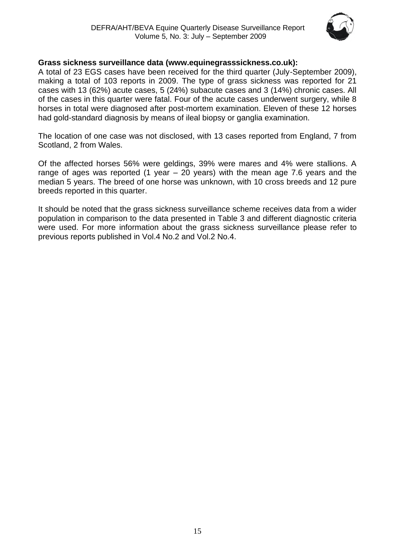

# **Grass sickness surveillance data (www.equinegrasssickness.co.uk):**

A total of 23 EGS cases have been received for the third quarter (July-September 2009), making a total of 103 reports in 2009. The type of grass sickness was reported for 21 cases with 13 (62%) acute cases, 5 (24%) subacute cases and 3 (14%) chronic cases. All of the cases in this quarter were fatal. Four of the acute cases underwent surgery, while 8 horses in total were diagnosed after post-mortem examination. Eleven of these 12 horses had gold-standard diagnosis by means of ileal biopsy or ganglia examination.

The location of one case was not disclosed, with 13 cases reported from England, 7 from Scotland, 2 from Wales.

Of the affected horses 56% were geldings, 39% were mares and 4% were stallions. A range of ages was reported (1 year  $-$  20 years) with the mean age 7.6 years and the median 5 years. The breed of one horse was unknown, with 10 cross breeds and 12 pure breeds reported in this quarter.

It should be noted that the grass sickness surveillance scheme receives data from a wider population in comparison to the data presented in Table 3 and different diagnostic criteria were used. For more information about the grass sickness surveillance please refer to previous reports published in Vol.4 No.2 and Vol.2 No.4.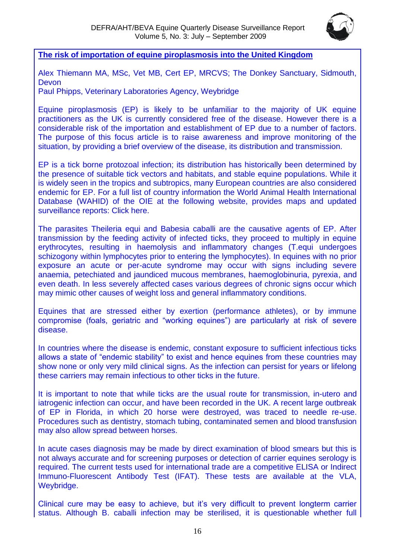

<span id="page-15-0"></span>**The risk of importation of equine piroplasmosis into the United Kingdom**

Alex Thiemann MA, MSc, Vet MB, Cert EP, MRCVS; The Donkey Sanctuary, Sidmouth, Devon

Paul Phipps, Veterinary Laboratories Agency, Weybridge

Equine piroplasmosis (EP) is likely to be unfamiliar to the majority of UK equine practitioners as the UK is currently considered free of the disease. However there is a considerable risk of the importation and establishment of EP due to a number of factors. The purpose of this focus article is to raise awareness and improve monitoring of the situation, by providing a brief overview of the disease, its distribution and transmission.

EP is a tick borne protozoal infection; its distribution has historically been determined by the presence of suitable tick vectors and habitats, and stable equine populations. While it is widely seen in the tropics and subtropics, many European countries are also considered endemic for EP. For a full list of country information the World Animal Health International Database (WAHID) of the OIE at the following website, provides maps and updated surveillance reports: [Click here.](http://www.oie.int/wahis/public.php?page=home)

The parasites Theileria equi and Babesia caballi are the causative agents of EP. After transmission by the feeding activity of infected ticks, they proceed to multiply in equine erythrocytes, resulting in haemolysis and inflammatory changes (T.equi undergoes schizogony within lymphocytes prior to entering the lymphocytes). In equines with no prior exposure an acute or per-acute syndrome may occur with signs including severe anaemia, petechiated and jaundiced mucous membranes, haemoglobinuria, pyrexia, and even death. In less severely affected cases various degrees of chronic signs occur which may mimic other causes of weight loss and general inflammatory conditions.

Equines that are stressed either by exertion (performance athletes), or by immune compromise (foals, geriatric and "working equines") are particularly at risk of severe disease.

In countries where the disease is endemic, constant exposure to sufficient infectious ticks allows a state of "endemic stability" to exist and hence equines from these countries may show none or only very mild clinical signs. As the infection can persist for years or lifelong these carriers may remain infectious to other ticks in the future.

It is important to note that while ticks are the usual route for transmission, in-utero and iatrogenic infection can occur, and have been recorded in the UK. A recent large outbreak of EP in Florida, in which 20 horse were destroyed, was traced to needle re-use. Procedures such as dentistry, stomach tubing, contaminated semen and blood transfusion may also allow spread between horses.

In acute cases diagnosis may be made by direct examination of blood smears but this is not always accurate and for screening purposes or detection of carrier equines serology is required. The current tests used for international trade are a competitive ELISA or Indirect Immuno-Fluorescent Antibody Test (IFAT). These tests are available at the VLA, Weybridge.

Clinical cure may be easy to achieve, but it's very difficult to prevent longterm carrier status. Although B. caballi infection may be sterilised, it is questionable whether full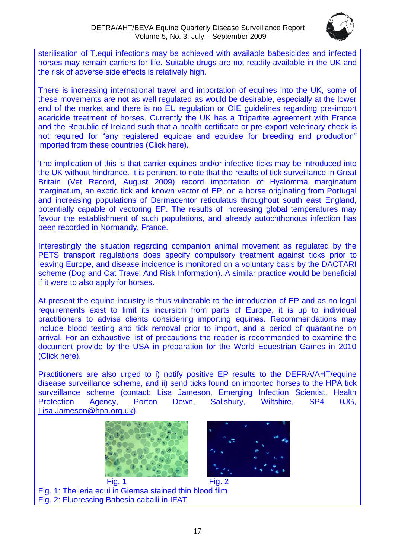

sterilisation of T.equi infections may be achieved with available babesicides and infected horses may remain carriers for life. Suitable drugs are not readily available in the UK and the risk of adverse side effects is relatively high.

There is increasing international travel and importation of equines into the UK, some of these movements are not as well regulated as would be desirable, especially at the lower end of the market and there is no EU regulation or OIE guidelines regarding pre-import acaricide treatment of horses. Currently the UK has a Tripartite agreement with France and the Republic of Ireland such that a health certificate or pre-export veterinary check is not required for "any registered equidae and equidae for breeding and production" imported from these countries [\(Click here\)](http://www.defra.gov.uk/foodfarm/animaltrade/imports/iins/pdf/horses-tin5.pdf).

The implication of this is that carrier equines and/or infective ticks may be introduced into the UK without hindrance. It is pertinent to note that the results of tick surveillance in Great Britain (Vet Record, August 2009) record importation of Hyalomma marginatum marginatum, an exotic tick and known vector of EP, on a horse originating from Portugal and increasing populations of Dermacentor reticulatus throughout south east England, potentially capable of vectoring EP. The results of increasing global temperatures may favour the establishment of such populations, and already autochthonous infection has been recorded in Normandy, France.

Interestingly the situation regarding companion animal movement as regulated by the PETS transport regulations does specify compulsory treatment against ticks prior to leaving Europe, and disease incidence is monitored on a voluntary basis by the DACTARI scheme (Dog and Cat Travel And Risk Information). A similar practice would be beneficial if it were to also apply for horses.

At present the equine industry is thus vulnerable to the introduction of EP and as no legal requirements exist to limit its incursion from parts of Europe, it is up to individual practitioners to advise clients considering importing equines. Recommendations may include blood testing and tick removal prior to import, and a period of quarantine on arrival. For an exhaustive list of precautions the reader is recommended to examine the document provide by the USA in preparation for the World Equestrian Games in 2010 [\(Click here\)](http://www.aphis.usda.gov/vs/nahss/equine/piroplasmosis/EP_and_2010_world_equestrian_games_white_paper.pdf).

Practitioners are also urged to i) notify positive EP results to the DEFRA/AHT/equine disease surveillance scheme, and ii) send ticks found on imported horses to the HPA tick surveillance scheme (contact: Lisa Jameson, Emerging Infection Scientist, Health Protection Agency, Porton Down, Salisbury, Wiltshire, SP4 0JG, [Lisa.Jameson@hpa.org.uk\)](mailto:Lisa.Jameson@hpa.org.uk).





Fig. 1 Fig. 2 Fig. 1: Theileria equi in Giemsa stained thin blood film Fig. 2: Fluorescing Babesia caballi in IFAT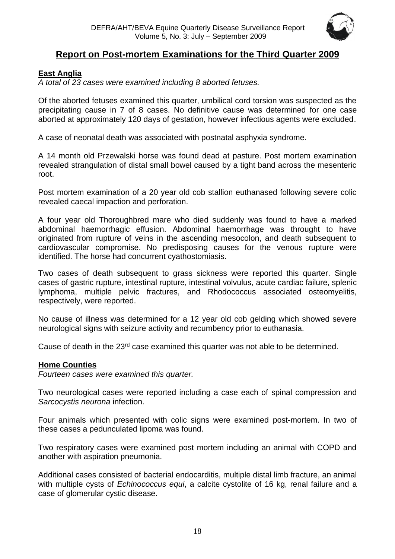

# <span id="page-17-0"></span>**Report on Post-mortem Examinations for the Third Quarter 2009**

# <span id="page-17-1"></span>**East Anglia**

*A total of 23 cases were examined including 8 aborted fetuses.*

Of the aborted fetuses examined this quarter, umbilical cord torsion was suspected as the precipitating cause in 7 of 8 cases. No definitive cause was determined for one case aborted at approximately 120 days of gestation, however infectious agents were excluded.

A case of neonatal death was associated with postnatal asphyxia syndrome.

A 14 month old Przewalski horse was found dead at pasture. Post mortem examination revealed strangulation of distal small bowel caused by a tight band across the mesenteric root.

Post mortem examination of a 20 year old cob stallion euthanased following severe colic revealed caecal impaction and perforation.

A four year old Thoroughbred mare who died suddenly was found to have a marked abdominal haemorrhagic effusion. Abdominal haemorrhage was throught to have originated from rupture of veins in the ascending mesocolon, and death subsequent to cardiovascular compromise. No predisposing causes for the venous rupture were identified. The horse had concurrent cyathostomiasis.

Two cases of death subsequent to grass sickness were reported this quarter. Single cases of gastric rupture, intestinal rupture, intestinal volvulus, acute cardiac failure, splenic lymphoma, multiple pelvic fractures, and Rhodococcus associated osteomyelitis, respectively, were reported.

No cause of illness was determined for a 12 year old cob gelding which showed severe neurological signs with seizure activity and recumbency prior to euthanasia.

Cause of death in the  $23<sup>rd</sup>$  case examined this quarter was not able to be determined.

# <span id="page-17-2"></span>**Home Counties**

*Fourteen cases were examined this quarter.*

Two neurological cases were reported including a case each of spinal compression and *Sarcocystis neurona* infection.

Four animals which presented with colic signs were examined post-mortem. In two of these cases a pedunculated lipoma was found.

Two respiratory cases were examined post mortem including an animal with COPD and another with aspiration pneumonia.

Additional cases consisted of bacterial endocarditis, multiple distal limb fracture, an animal with multiple cysts of *Echinococcus equi*, a calcite cystolite of 16 kg, renal failure and a case of glomerular cystic disease.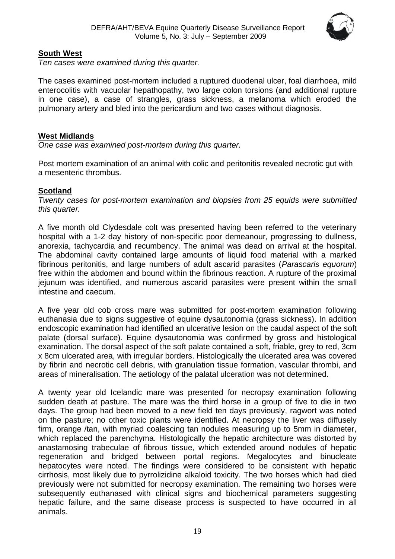

# <span id="page-18-0"></span>**South West**

*Ten cases were examined during this quarter.*

The cases examined post-mortem included a ruptured duodenal ulcer, foal diarrhoea, mild enterocolitis with vacuolar hepathopathy, two large colon torsions (and additional rupture in one case), a case of strangles, grass sickness, a melanoma which eroded the pulmonary artery and bled into the pericardium and two cases without diagnosis.

# <span id="page-18-1"></span>**West Midlands**

*One case was examined post-mortem during this quarter.*

Post mortem examination of an animal with colic and peritonitis revealed necrotic gut with a mesenteric thrombus.

# <span id="page-18-2"></span>**Scotland**

*Twenty cases for post-mortem examination and biopsies from 25 equids were submitted this quarter.*

A five month old Clydesdale colt was presented having been referred to the veterinary hospital with a 1-2 day history of non-specific poor demeanour, progressing to dullness, anorexia, tachycardia and recumbency. The animal was dead on arrival at the hospital. The abdominal cavity contained large amounts of liquid food material with a marked fibrinous peritonitis, and large numbers of adult ascarid parasites (*Parascaris equorum*) free within the abdomen and bound within the fibrinous reaction. A rupture of the proximal jejunum was identified, and numerous ascarid parasites were present within the small intestine and caecum.

A five year old cob cross mare was submitted for post-mortem examination following euthanasia due to signs suggestive of equine dysautonomia (grass sickness). In addition endoscopic examination had identified an ulcerative lesion on the caudal aspect of the soft palate (dorsal surface). Equine dysautonomia was confirmed by gross and histological examination. The dorsal aspect of the soft palate contained a soft, friable, grey to red, 3cm x 8cm ulcerated area, with irregular borders. Histologically the ulcerated area was covered by fibrin and necrotic cell debris, with granulation tissue formation, vascular thrombi, and areas of mineralisation. The aetiology of the palatal ulceration was not determined.

A twenty year old Icelandic mare was presented for necropsy examination following sudden death at pasture. The mare was the third horse in a group of five to die in two days. The group had been moved to a new field ten days previously, ragwort was noted on the pasture; no other toxic plants were identified. At necropsy the liver was diffusely firm, orange /tan, with myriad coalescing tan nodules measuring up to 5mm in diameter, which replaced the parenchyma. Histologically the hepatic architecture was distorted by anastamosing trabeculae of fibrous tissue, which extended around nodules of hepatic regeneration and bridged between portal regions. Megalocytes and binucleate hepatocytes were noted. The findings were considered to be consistent with hepatic cirrhosis, most likely due to pyrrolizidine alkaloid toxicity. The two horses which had died previously were not submitted for necropsy examination. The remaining two horses were subsequently euthanased with clinical signs and biochemical parameters suggesting hepatic failure, and the same disease process is suspected to have occurred in all animals.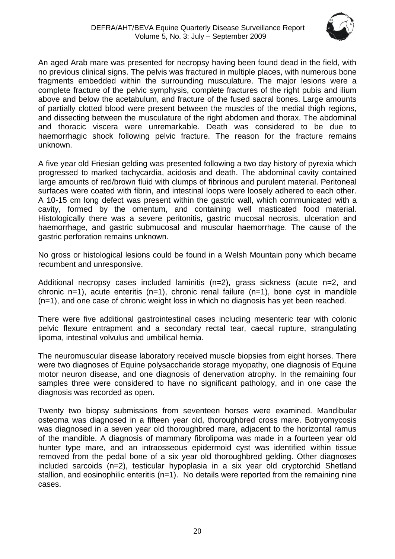

An aged Arab mare was presented for necropsy having been found dead in the field, with no previous clinical signs. The pelvis was fractured in multiple places, with numerous bone fragments embedded within the surrounding musculature. The major lesions were a complete fracture of the pelvic symphysis, complete fractures of the right pubis and ilium above and below the acetabulum, and fracture of the fused sacral bones. Large amounts of partially clotted blood were present between the muscles of the medial thigh regions, and dissecting between the musculature of the right abdomen and thorax. The abdominal and thoracic viscera were unremarkable. Death was considered to be due to haemorrhagic shock following pelvic fracture. The reason for the fracture remains unknown.

A five year old Friesian gelding was presented following a two day history of pyrexia which progressed to marked tachycardia, acidosis and death. The abdominal cavity contained large amounts of red/brown fluid with clumps of fibrinous and purulent material. Peritoneal surfaces were coated with fibrin, and intestinal loops were loosely adhered to each other. A 10-15 cm long defect was present within the gastric wall, which communicated with a cavity, formed by the omentum, and containing well masticated food material. Histologically there was a severe peritonitis, gastric mucosal necrosis, ulceration and haemorrhage, and gastric submucosal and muscular haemorrhage. The cause of the gastric perforation remains unknown.

No gross or histological lesions could be found in a Welsh Mountain pony which became recumbent and unresponsive.

Additional necropsy cases included laminitis (n=2), grass sickness (acute n=2, and chronic n=1), acute enteritis  $(n=1)$ , chronic renal failure  $(n=1)$ , bone cyst in mandible (n=1), and one case of chronic weight loss in which no diagnosis has yet been reached.

There were five additional gastrointestinal cases including mesenteric tear with colonic pelvic flexure entrapment and a secondary rectal tear, caecal rupture, strangulating lipoma, intestinal volvulus and umbilical hernia.

The neuromuscular disease laboratory received muscle biopsies from eight horses. There were two diagnoses of Equine polysaccharide storage myopathy, one diagnosis of Equine motor neuron disease, and one diagnosis of denervation atrophy. In the remaining four samples three were considered to have no significant pathology, and in one case the diagnosis was recorded as open.

Twenty two biopsy submissions from seventeen horses were examined. Mandibular osteoma was diagnosed in a fifteen year old, thoroughbred cross mare. Botryomycosis was diagnosed in a seven year old thoroughbred mare, adjacent to the horizontal ramus of the mandible. A diagnosis of mammary fibrolipoma was made in a fourteen year old hunter type mare, and an intraosseous epidermoid cyst was identified within tissue removed from the pedal bone of a six year old thoroughbred gelding. Other diagnoses included sarcoids (n=2), testicular hypoplasia in a six year old cryptorchid Shetland stallion, and eosinophilic enteritis (n=1). No details were reported from the remaining nine cases.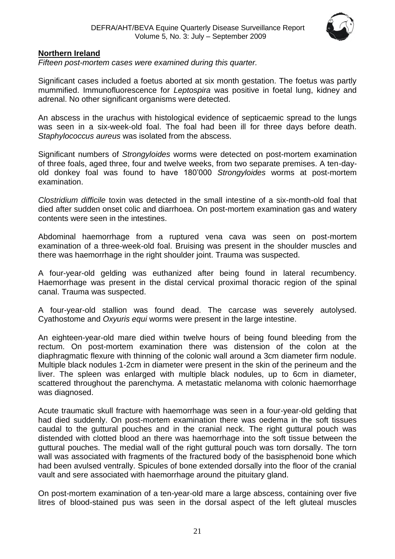

#### <span id="page-20-0"></span>**Northern Ireland**

*Fifteen post-mortem cases were examined during this quarter.*

Significant cases included a foetus aborted at six month gestation. The foetus was partly mummified. Immunofluorescence for *Leptospira* was positive in foetal lung, kidney and adrenal. No other significant organisms were detected.

An abscess in the urachus with histological evidence of septicaemic spread to the lungs was seen in a six-week-old foal. The foal had been ill for three days before death. *Staphylococcus aureus* was isolated from the abscess.

Significant numbers of *Strongyloides* worms were detected on post-mortem examination of three foals, aged three, four and twelve weeks, from two separate premises. A ten-dayold donkey foal was found to have 180'000 *Strongyloides* worms at post-mortem examination.

*Clostridium difficile* toxin was detected in the small intestine of a six-month-old foal that died after sudden onset colic and diarrhoea. On post-mortem examination gas and watery contents were seen in the intestines.

Abdominal haemorrhage from a ruptured vena cava was seen on post-mortem examination of a three-week-old foal. Bruising was present in the shoulder muscles and there was haemorrhage in the right shoulder joint. Trauma was suspected.

A four-year-old gelding was euthanized after being found in lateral recumbency. Haemorrhage was present in the distal cervical proximal thoracic region of the spinal canal. Trauma was suspected.

A four-year-old stallion was found dead. The carcase was severely autolysed. Cyathostome and *Oxyuris equi* worms were present in the large intestine.

An eighteen-year-old mare died within twelve hours of being found bleeding from the rectum. On post-mortem examination there was distension of the colon at the diaphragmatic flexure with thinning of the colonic wall around a 3cm diameter firm nodule. Multiple black nodules 1-2cm in diameter were present in the skin of the perineum and the liver. The spleen was enlarged with multiple black nodules, up to 6cm in diameter, scattered throughout the parenchyma. A metastatic melanoma with colonic haemorrhage was diagnosed.

Acute traumatic skull fracture with haemorrhage was seen in a four-year-old gelding that had died suddenly. On post-mortem examination there was oedema in the soft tissues caudal to the guttural pouches and in the cranial neck. The right guttural pouch was distended with clotted blood an there was haemorrhage into the soft tissue between the guttural pouches. The medial wall of the right guttural pouch was torn dorsally. The torn wall was associated with fragments of the fractured body of the basisphenoid bone which had been avulsed ventrally. Spicules of bone extended dorsally into the floor of the cranial vault and sere associated with haemorrhage around the pituitary gland.

On post-mortem examination of a ten-year-old mare a large abscess, containing over five litres of blood-stained pus was seen in the dorsal aspect of the left gluteal muscles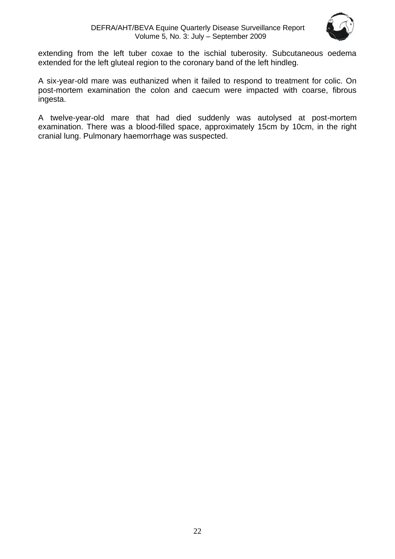

extending from the left tuber coxae to the ischial tuberosity. Subcutaneous oedema extended for the left gluteal region to the coronary band of the left hindleg.

A six-year-old mare was euthanized when it failed to respond to treatment for colic. On post-mortem examination the colon and caecum were impacted with coarse, fibrous ingesta.

A twelve-year-old mare that had died suddenly was autolysed at post-mortem examination. There was a blood-filled space, approximately 15cm by 10cm, in the right cranial lung. Pulmonary haemorrhage was suspected.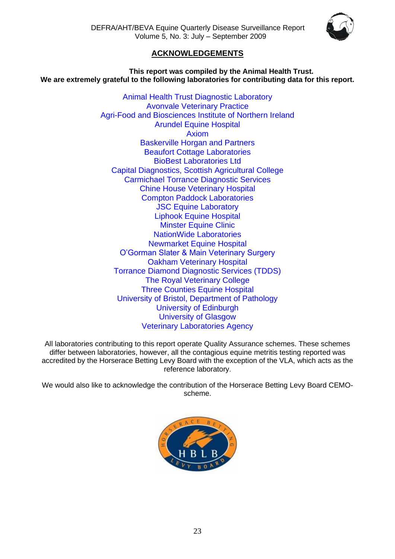

# **ACKNOWLEDGEMENTS**

<span id="page-22-0"></span>**This report was compiled by the Animal Health Trust. We are extremely grateful to the following laboratories for contributing data for this report.**

> Animal Health Trust Diagnostic Laboratory Avonvale Veterinary Practice Agri-Food and Biosciences Institute of Northern Ireland Arundel Equine Hospital Axiom Baskerville Horgan and Partners Beaufort Cottage Laboratories BioBest Laboratories Ltd Capital Diagnostics, Scottish Agricultural College Carmichael Torrance Diagnostic Services Chine House Veterinary Hospital Compton Paddock Laboratories **JSC Equine Laboratory** Liphook Equine Hospital Minster Equine Clinic NationWide Laboratories Newmarket Equine Hospital O'Gorman Slater & Main Veterinary Surgery Oakham Veterinary Hospital Torrance Diamond Diagnostic Services (TDDS) The Royal Veterinary College Three Counties Equine Hospital University of Bristol, Department of Pathology University of Edinburgh University of Glasgow Veterinary Laboratories Agency

All laboratories contributing to this report operate Quality Assurance schemes. These schemes differ between laboratories, however, all the contagious equine metritis testing reported was accredited by the Horserace Betting Levy Board with the exception of the VLA, which acts as the reference laboratory.

We would also like to acknowledge the contribution of the Horserace Betting Levy Board CEMOscheme.